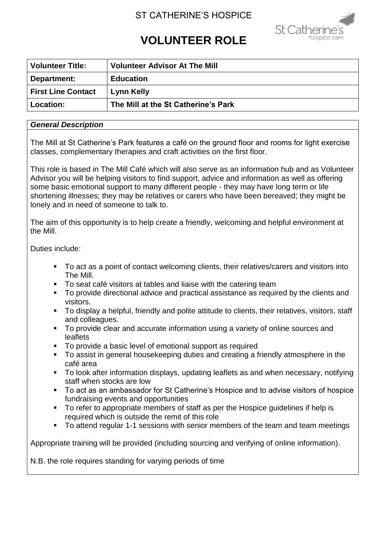# ST CATHERINE'S HOSPICE



# **VOLUNTEER ROLE**

| <b>Volunteer Title:</b>   | <b>Volunteer Advisor At The Mill</b> |
|---------------------------|--------------------------------------|
| Department:               | <b>Education</b>                     |
| <b>First Line Contact</b> | Lynn Kelly                           |
| <b>Location:</b>          | The Mill at the St Catherine's Park  |

#### *General Description*

The Mill at St Catherine's Park features a café on the ground floor and rooms for light exercise classes, complementary therapies and craft activities on the first floor.

This role is based in The Mill Café which will also serve as an information hub and as Volunteer Advisor you will be helping visitors to find support, advice and information as well as offering some basic emotional support to many different people - they may have long term or life shortening illnesses; they may be relatives or carers who have been bereaved; they might be lonely and in need of someone to talk to.

The aim of this opportunity is to help create a friendly, welcoming and helpful environment at the Mill.

Duties include:

- To act as a point of contact welcoming clients, their relatives/carers and visitors into The Mill.
- To seat café visitors at tables and liaise with the catering team
- To provide directional advice and practical assistance as required by the clients and visitors.
- To display a helpful, friendly and polite attitude to clients, their relatives, visitors, staff and colleagues.
- **To provide clear and accurate information using a variety of online sources and** leaflets
- To provide a basic level of emotional support as required
- To assist in general housekeeping duties and creating a friendly atmosphere in the café area
- To look after information displays, updating leaflets as and when necessary, notifying staff when stocks are low
- To act as an ambassador for St Catherine's Hospice and to advise visitors of hospice fundraising events and opportunities
- To refer to appropriate members of staff as per the Hospice guidelines if help is required which is outside the remit of this role
- To attend regular 1-1 sessions with senior members of the team and team meetings

Appropriate training will be provided (including sourcing and verifying of online information).

N.B. the role requires standing for varying periods of time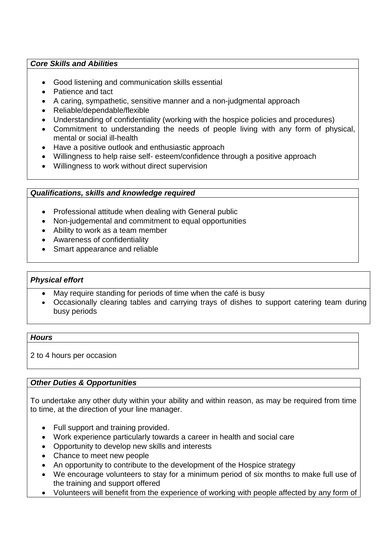## *Core Skills and Abilities*

- Good listening and communication skills essential
- Patience and tact
- A caring, sympathetic, sensitive manner and a non-judgmental approach
- Reliable/dependable/flexible
- Understanding of confidentiality (working with the hospice policies and procedures)
- Commitment to understanding the needs of people living with any form of physical, mental or social ill-health
- Have a positive outlook and enthusiastic approach
- Willingness to help raise self- esteem/confidence through a positive approach
- Willingness to work without direct supervision

#### *Qualifications, skills and knowledge required*

- Professional attitude when dealing with General public
- Non-judgemental and commitment to equal opportunities
- Ability to work as a team member
- Awareness of confidentiality
- Smart appearance and reliable

#### *Physical effort*

- May require standing for periods of time when the café is busy
- Occasionally clearing tables and carrying trays of dishes to support catering team during busy periods

#### *Hours*

2 to 4 hours per occasion

## *Other Duties & Opportunities*

To undertake any other duty within your ability and within reason, as may be required from time to time, at the direction of your line manager.

- Full support and training provided.
- Work experience particularly towards a career in health and social care
- Opportunity to develop new skills and interests
- Chance to meet new people
- An opportunity to contribute to the development of the Hospice strategy
- We encourage volunteers to stay for a minimum period of six months to make full use of the training and support offered
- Volunteers will benefit from the experience of working with people affected by any form of